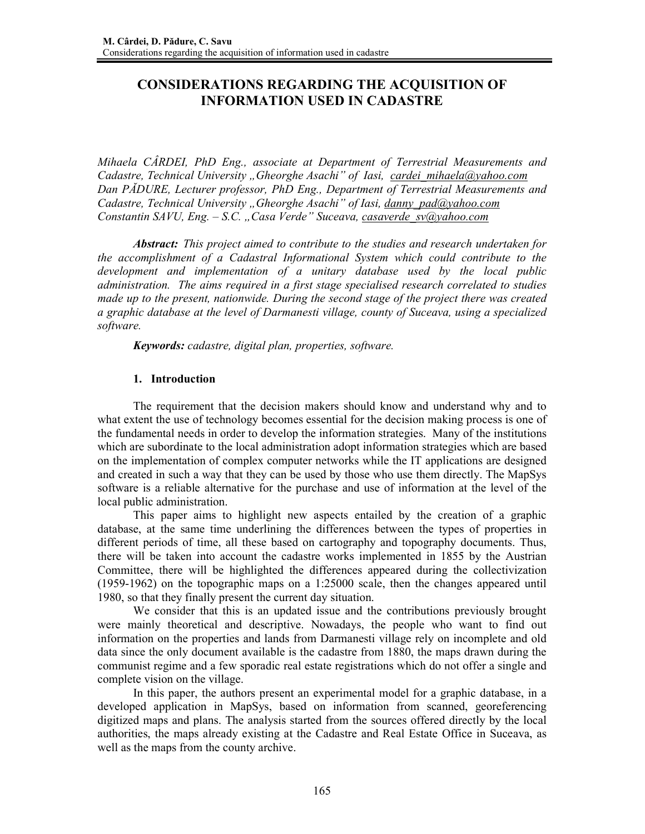# **CONSIDERATIONS REGARDING THE ACQUISITION OF INFORMATION USED IN CADASTRE**

*Mihaela CÂRDEI, PhD Eng., associate at Department of Terrestrial Measurements and Cadastre, Technical University "Gheorghe Asachi" of Iasi, cardei\_mihaela@yahoo.com Dan PĂDURE, Lecturer professor, PhD Eng., Department of Terrestrial Measurements and Cadastre, Technical University "Gheorghe Asachi" of Iasi, danny\_pad@yahoo.com Constantin SAVU, Eng. – S.C. "Casa Verde" Suceava, casaverde\_sv@yahoo.com*

*Abstract: This project aimed to contribute to the studies and research undertaken for the accomplishment of a Cadastral Informational System which could contribute to the development and implementation of a unitary database used by the local public administration. The aims required in a first stage specialised research correlated to studies made up to the present, nationwide. During the second stage of the project there was created a graphic database at the level of Darmanesti village, county of Suceava, using a specialized software.* 

*Keywords: cadastre, digital plan, properties, software.* 

# **1. Introduction**

The requirement that the decision makers should know and understand why and to what extent the use of technology becomes essential for the decision making process is one of the fundamental needs in order to develop the information strategies. Many of the institutions which are subordinate to the local administration adopt information strategies which are based on the implementation of complex computer networks while the IT applications are designed and created in such a way that they can be used by those who use them directly. The MapSys software is a reliable alternative for the purchase and use of information at the level of the local public administration.

This paper aims to highlight new aspects entailed by the creation of a graphic database, at the same time underlining the differences between the types of properties in different periods of time, all these based on cartography and topography documents. Thus, there will be taken into account the cadastre works implemented in 1855 by the Austrian Committee, there will be highlighted the differences appeared during the collectivization (1959-1962) on the topographic maps on a 1:25000 scale, then the changes appeared until 1980, so that they finally present the current day situation.

We consider that this is an updated issue and the contributions previously brought were mainly theoretical and descriptive. Nowadays, the people who want to find out information on the properties and lands from Darmanesti village rely on incomplete and old data since the only document available is the cadastre from 1880, the maps drawn during the communist regime and a few sporadic real estate registrations which do not offer a single and complete vision on the village.

In this paper, the authors present an experimental model for a graphic database, in a developed application in MapSys, based on information from scanned, georeferencing digitized maps and plans. The analysis started from the sources offered directly by the local authorities, the maps already existing at the Cadastre and Real Estate Office in Suceava, as well as the maps from the county archive.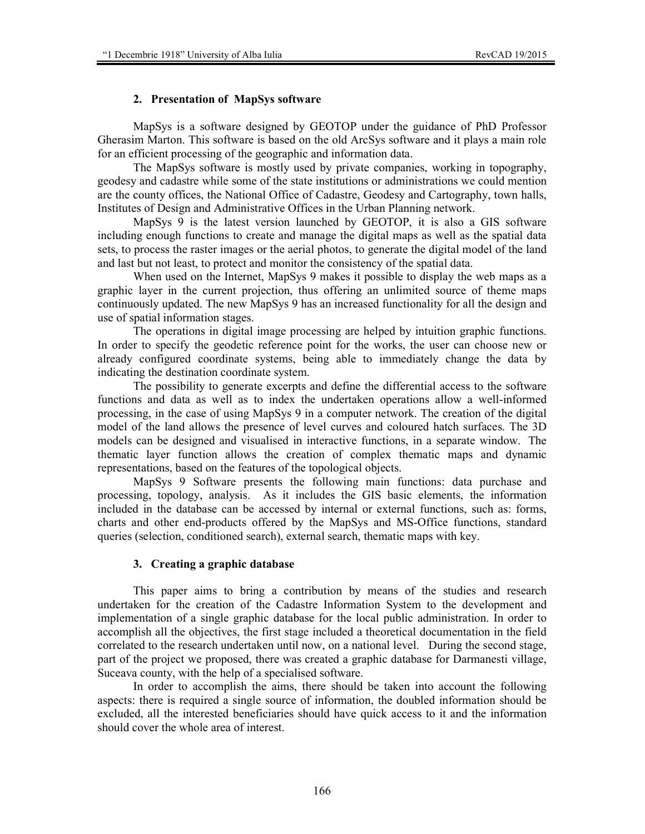# **2. Presentation of MapSys software**

MapSys is a software designed by GEOTOP under the guidance of PhD Professor Gherasim Marton. This software is based on the old ArcSys software and it plays a main role for an efficient processing of the geographic and information data.

The MapSys software is mostly used by private companies, working in topography, geodesy and cadastre while some of the state institutions or administrations we could mention are the county offices, the National Office of Cadastre, Geodesy and Cartography, town halls, Institutes of Design and Administrative Offices in the Urban Planning network.

MapSys 9 is the latest version launched by GEOTOP, it is also a GIS software including enough functions to create and manage the digital maps as well as the spatial data sets, to process the raster images or the aerial photos, to generate the digital model of the land and last but not least, to protect and monitor the consistency of the spatial data.

When used on the Internet, MapSys 9 makes it possible to display the web maps as a graphic layer in the current projection, thus offering an unlimited source of theme maps continuously updated. The new MapSys 9 has an increased functionality for all the design and use of spatial information stages.

The operations in digital image processing are helped by intuition graphic functions. In order to specify the geodetic reference point for the works, the user can choose new or already configured coordinate systems, being able to immediately change the data by indicating the destination coordinate system.

The possibility to generate excerpts and define the differential access to the software functions and data as well as to index the undertaken operations allow a well-informed processing, in the case of using MapSys 9 in a computer network. The creation of the digital model of the land allows the presence of level curves and coloured hatch surfaces. The 3D models can be designed and visualised in interactive functions, in a separate window. The thematic layer function allows the creation of complex thematic maps and dynamic representations, based on the features of the topological objects.

MapSys 9 Software presents the following main functions: data purchase and processing, topology, analysis. As it includes the GIS basic elements, the information included in the database can be accessed by internal or external functions, such as: forms, charts and other end-products offered by the MapSys and MS-Office functions, standard queries (selection, conditioned search), external search, thematic maps with key.

# **3. Creating a graphic database**

This paper aims to bring a contribution by means of the studies and research undertaken for the creation of the Cadastre Information System to the development and implementation of a single graphic database for the local public administration. In order to accomplish all the objectives, the first stage included a theoretical documentation in the field correlated to the research undertaken until now, on a national level. During the second stage, part of the project we proposed, there was created a graphic database for Darmanesti village, Suceava county, with the help of a specialised software.

In order to accomplish the aims, there should be taken into account the following aspects: there is required a single source of information, the doubled information should be excluded, all the interested beneficiaries should have quick access to it and the information should cover the whole area of interest.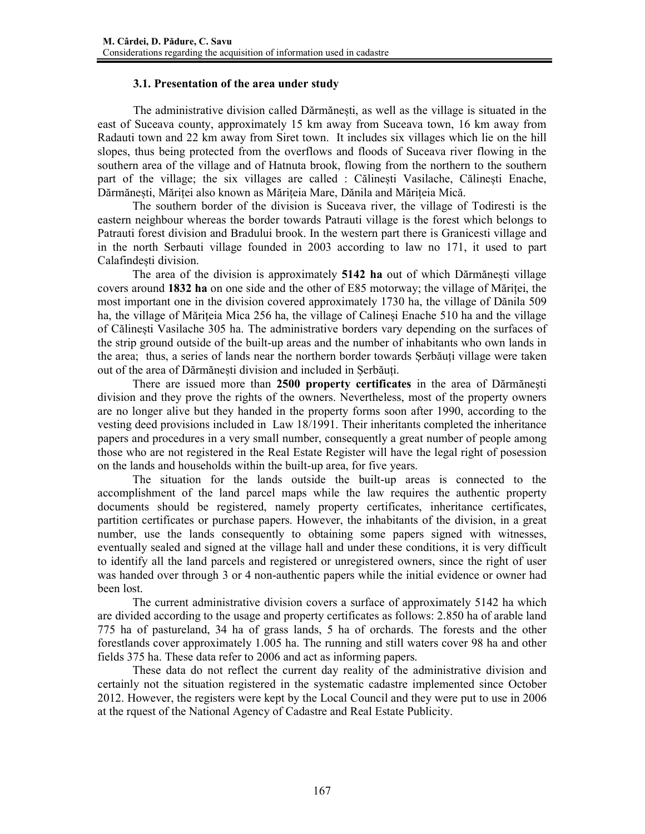# **3.1. Presentation of the area under study**

The administrative division called Dărmănești, as well as the village is situated in the east of Suceava county, approximately 15 km away from Suceava town, 16 km away from Radauti town and 22 km away from Siret town. It includes six villages which lie on the hill slopes, thus being protected from the overflows and floods of Suceava river flowing in the southern area of the village and of Hatnuta brook, flowing from the northern to the southern part of the village; the six villages are called : Călinești Vasilache, Călinești Enache, Dărmănești, Măriței also known as Mărițeia Mare, Dănila and Mărițeia Mică.

The southern border of the division is Suceava river, the village of Todiresti is the eastern neighbour whereas the border towards Patrauti village is the forest which belongs to Patrauti forest division and Bradului brook. In the western part there is Granicesti village and in the north Serbauti village founded in 2003 according to law no 171, it used to part Calafindești division.

The area of the division is approximately **5142 ha** out of which Dărmănești village covers around **1832 ha** on one side and the other of E85 motorway; the village of Măriței, the most important one in the division covered approximately 1730 ha, the village of Dănila 509 ha, the village of Măriteia Mica 256 ha, the village of Calinesi Enache 510 ha and the village of Călinești Vasilache 305 ha. The administrative borders vary depending on the surfaces of the strip ground outside of the built-up areas and the number of inhabitants who own lands in the area; thus, a series of lands near the northern border towards Șerbăuți village were taken out of the area of Dărmănești division and included in Șerbăuți.

There are issued more than **2500 property certificates** in the area of Dărmăneşti division and they prove the rights of the owners. Nevertheless, most of the property owners are no longer alive but they handed in the property forms soon after 1990, according to the vesting deed provisions included in Law 18/1991. Their inheritants completed the inheritance papers and procedures in a very small number, consequently a great number of people among those who are not registered in the Real Estate Register will have the legal right of posession on the lands and households within the built-up area, for five years.

The situation for the lands outside the built-up areas is connected to the accomplishment of the land parcel maps while the law requires the authentic property documents should be registered, namely property certificates, inheritance certificates, partition certificates or purchase papers. However, the inhabitants of the division, in a great number, use the lands consequently to obtaining some papers signed with witnesses, eventually sealed and signed at the village hall and under these conditions, it is very difficult to identify all the land parcels and registered or unregistered owners, since the right of user was handed over through 3 or 4 non-authentic papers while the initial evidence or owner had been lost.

The current administrative division covers a surface of approximately 5142 ha which are divided according to the usage and property certificates as follows: 2.850 ha of arable land 775 ha of pastureland, 34 ha of grass lands, 5 ha of orchards. The forests and the other forestlands cover approximately 1.005 ha. The running and still waters cover 98 ha and other fields 375 ha. These data refer to 2006 and act as informing papers.

These data do not reflect the current day reality of the administrative division and certainly not the situation registered in the systematic cadastre implemented since October 2012. However, the registers were kept by the Local Council and they were put to use in 2006 at the rquest of the National Agency of Cadastre and Real Estate Publicity.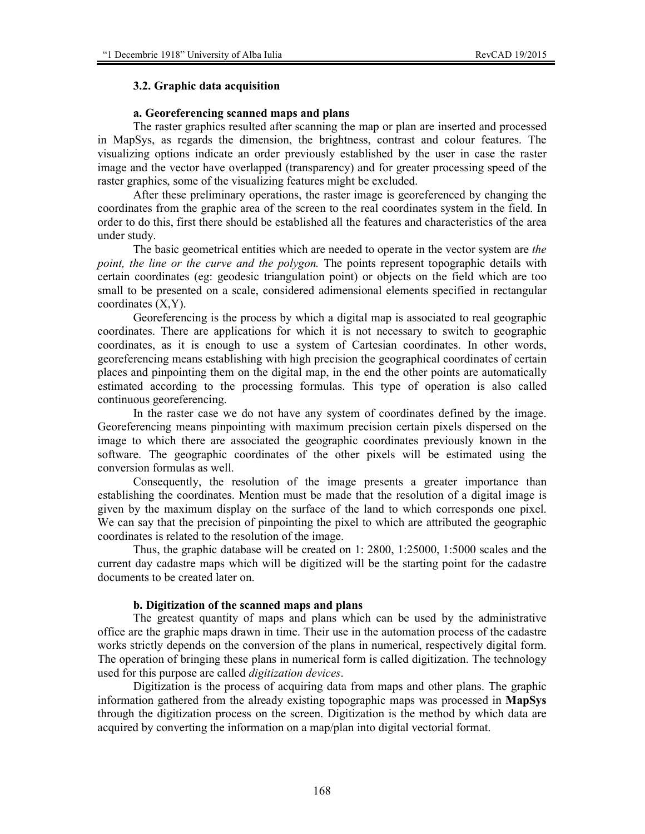# **3.2. Graphic data acquisition**

### **a. Georeferencing scanned maps and plans**

The raster graphics resulted after scanning the map or plan are inserted and processed in MapSys, as regards the dimension, the brightness, contrast and colour features. The visualizing options indicate an order previously established by the user in case the raster image and the vector have overlapped (transparency) and for greater processing speed of the raster graphics, some of the visualizing features might be excluded.

After these preliminary operations, the raster image is georeferenced by changing the coordinates from the graphic area of the screen to the real coordinates system in the field. In order to do this, first there should be established all the features and characteristics of the area under study.

The basic geometrical entities which are needed to operate in the vector system are *the point, the line or the curve and the polygon.* The points represent topographic details with certain coordinates (eg: geodesic triangulation point) or objects on the field which are too small to be presented on a scale, considered adimensional elements specified in rectangular coordinates (X,Y).

Georeferencing is the process by which a digital map is associated to real geographic coordinates. There are applications for which it is not necessary to switch to geographic coordinates, as it is enough to use a system of Cartesian coordinates. In other words, georeferencing means establishing with high precision the geographical coordinates of certain places and pinpointing them on the digital map, in the end the other points are automatically estimated according to the processing formulas. This type of operation is also called continuous georeferencing.

In the raster case we do not have any system of coordinates defined by the image. Georeferencing means pinpointing with maximum precision certain pixels dispersed on the image to which there are associated the geographic coordinates previously known in the software. The geographic coordinates of the other pixels will be estimated using the conversion formulas as well.

Consequently, the resolution of the image presents a greater importance than establishing the coordinates. Mention must be made that the resolution of a digital image is given by the maximum display on the surface of the land to which corresponds one pixel. We can say that the precision of pinpointing the pixel to which are attributed the geographic coordinates is related to the resolution of the image.

Thus, the graphic database will be created on 1: 2800, 1:25000, 1:5000 scales and the current day cadastre maps which will be digitized will be the starting point for the cadastre documents to be created later on.

#### **b. Digitization of the scanned maps and plans**

The greatest quantity of maps and plans which can be used by the administrative office are the graphic maps drawn in time. Their use in the automation process of the cadastre works strictly depends on the conversion of the plans in numerical, respectively digital form. The operation of bringing these plans in numerical form is called digitization. The technology used for this purpose are called *digitization devices*.

Digitization is the process of acquiring data from maps and other plans. The graphic information gathered from the already existing topographic maps was processed in **MapSys**  through the digitization process on the screen. Digitization is the method by which data are acquired by converting the information on a map/plan into digital vectorial format.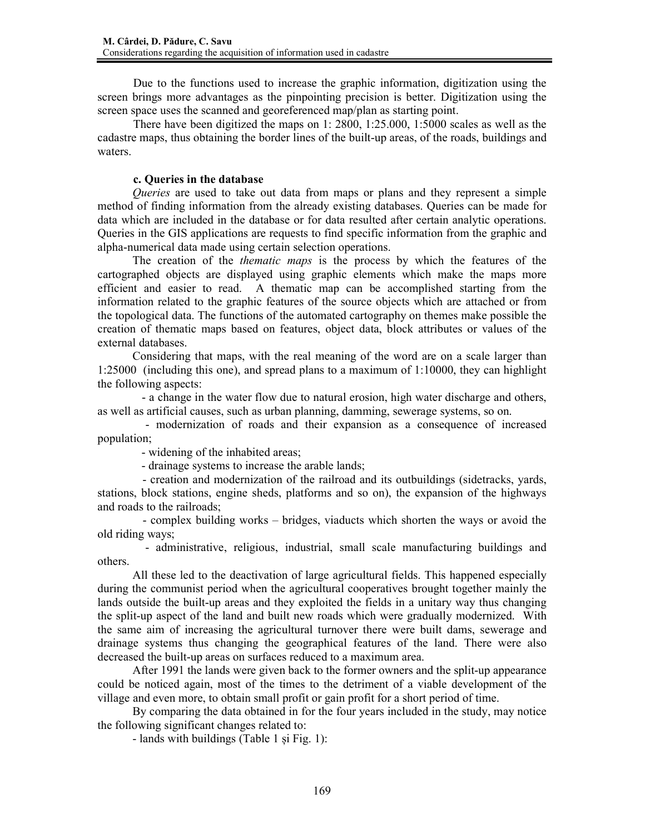Due to the functions used to increase the graphic information, digitization using the screen brings more advantages as the pinpointing precision is better. Digitization using the screen space uses the scanned and georeferenced map/plan as starting point.

There have been digitized the maps on 1: 2800, 1:25.000, 1:5000 scales as well as the cadastre maps, thus obtaining the border lines of the built-up areas, of the roads, buildings and waters.

# **c. Queries in the database**

*Queries* are used to take out data from maps or plans and they represent a simple method of finding information from the already existing databases. Queries can be made for data which are included in the database or for data resulted after certain analytic operations. Queries in the GIS applications are requests to find specific information from the graphic and alpha-numerical data made using certain selection operations.

The creation of the *thematic maps* is the process by which the features of the cartographed objects are displayed using graphic elements which make the maps more efficient and easier to read. A thematic map can be accomplished starting from the information related to the graphic features of the source objects which are attached or from the topological data. The functions of the automated cartography on themes make possible the creation of thematic maps based on features, object data, block attributes or values of the external databases.

Considering that maps, with the real meaning of the word are on a scale larger than 1:25000 (including this one), and spread plans to a maximum of 1:10000, they can highlight the following aspects:

 - a change in the water flow due to natural erosion, high water discharge and others, as well as artificial causes, such as urban planning, damming, sewerage systems, so on.

 - modernization of roads and their expansion as a consequence of increased population;

- widening of the inhabited areas;

- drainage systems to increase the arable lands;

 - creation and modernization of the railroad and its outbuildings (sidetracks, yards, stations, block stations, engine sheds, platforms and so on), the expansion of the highways and roads to the railroads;

 - complex building works – bridges, viaducts which shorten the ways or avoid the old riding ways;

 - administrative, religious, industrial, small scale manufacturing buildings and others.

All these led to the deactivation of large agricultural fields. This happened especially during the communist period when the agricultural cooperatives brought together mainly the lands outside the built-up areas and they exploited the fields in a unitary way thus changing the split-up aspect of the land and built new roads which were gradually modernized. With the same aim of increasing the agricultural turnover there were built dams, sewerage and drainage systems thus changing the geographical features of the land. There were also decreased the built-up areas on surfaces reduced to a maximum area.

After 1991 the lands were given back to the former owners and the split-up appearance could be noticed again, most of the times to the detriment of a viable development of the village and even more, to obtain small profit or gain profit for a short period of time.

By comparing the data obtained in for the four years included in the study, may notice the following significant changes related to:

- lands with buildings (Table 1 și Fig. 1):